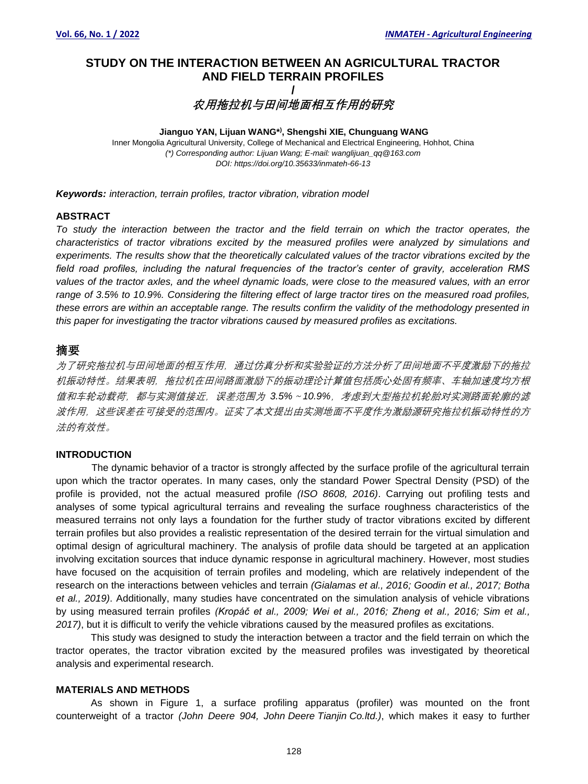# **STUDY ON THE INTERACTION BETWEEN AN AGRICULTURAL TRACTOR AND FIELD TERRAIN PROFILES**

# **/ 农用拖拉机与田间地面相互作用的研究**

#### **Jianguo YAN, Lijuan WANG\* ) , Shengshi XIE, Chunguang WANG** Inner Mongolia Agricultural University, College of Mechanical and Electrical Engineering, Hohhot, China *(\*) Corresponding author: Lijuan Wang; E-mail: wanglijuan\_qq@163.com DOI: https://doi.org/10.35633/inmateh-66-13*

*Keywords: interaction, terrain profiles, tractor vibration, vibration model*

# **ABSTRACT**

*To study the interaction between the tractor and the field terrain on which the tractor operates, the characteristics of tractor vibrations excited by the measured profiles were analyzed by simulations and experiments. The results show that the theoretically calculated values of the tractor vibrations excited by the field road profiles, including the natural frequencies of the tractor's center of gravity, acceleration RMS values of the tractor axles, and the wheel dynamic loads, were close to the measured values, with an error range of 3.5% to 10.9%. Considering the filtering effect of large tractor tires on the measured road profiles, these errors are within an acceptable range. The results confirm the validity of the methodology presented in this paper for investigating the tractor vibrations caused by measured profiles as excitations.* 

# 摘要

为了研究拖拉机与田间地面的相互作用,通过仿真分析和实验验证的方法分析了田间地面不平度激励下的拖拉 机振动特性。结果表明,拖拉机在田间路面激励下的振动理论计算值包括质心处固有频率、车轴加速度均方根 值和车轮动载荷,都与实测值接近,误差范围为 *3.5%*~*10.9%*,考虑到大型拖拉机轮胎对实测路面轮廓的滤 波作用,这些误差在可接受的范围内。证实了本文提出由实测地面不平度作为激励源研究拖拉机振动特性的方 法的有效性。

# **INTRODUCTION**

The dynamic behavior of a tractor is strongly affected by the surface profile of the agricultural terrain upon which the tractor operates. In many cases, only the standard Power Spectral Density (PSD) of the profile is provided, not the actual measured profile *(ISO 8608, 2016)*. Carrying out profiling tests and analyses of some typical agricultural terrains and revealing the surface roughness characteristics of the measured terrains not only lays a foundation for the further study of tractor vibrations excited by different terrain profiles but also provides a realistic representation of the desired terrain for the virtual simulation and optimal design of agricultural machinery. The analysis of profile data should be targeted at an application involving excitation sources that induce dynamic response in agricultural machinery. However, most studies have focused on the acquisition of terrain profiles and modeling, which are relatively independent of the research on the interactions between vehicles and terrain *(Gialamas et al., 2016; Goodin et al., 2017; Botha et al., 2019)*. Additionally, many studies have concentrated on the simulation analysis of vehicle vibrations by using measured terrain profiles *(Kropáč et al., 2009; Wei et al., 2016; Zheng et al., 2016; Sim et al., 2017)*, but it is difficult to verify the vehicle vibrations caused by the measured profiles as excitations.

This study was designed to study the interaction between a tractor and the field terrain on which the tractor operates, the tractor vibration excited by the measured profiles was investigated by theoretical analysis and experimental research.

### **MATERIALS AND METHODS**

As shown in Figure 1, a surface profiling apparatus (profiler) was mounted on the front counterweight of a tractor *(John Deere 904, John Deere Tianjin Co.ltd.)*, which makes it easy to further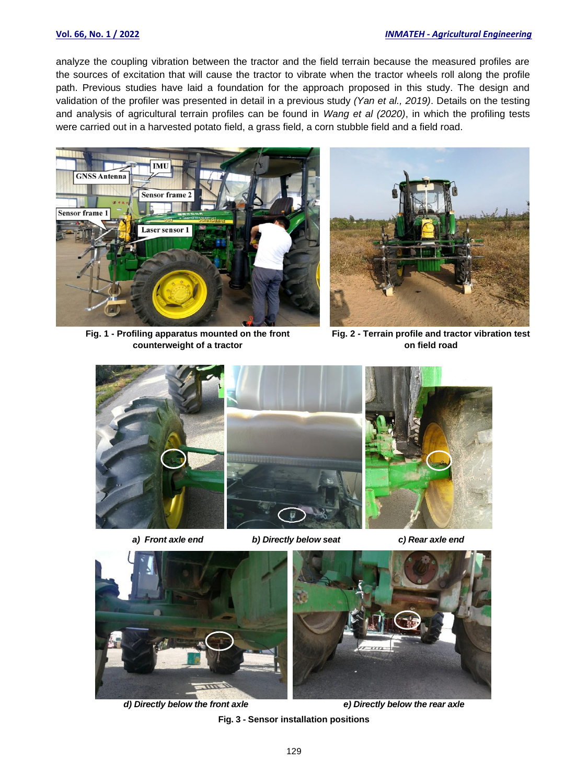### **Vol. 66, No. 1 / 2022** *INMATEH - Agricultural Engineering*

analyze the coupling vibration between the tractor and the field terrain because the measured profiles are the sources of excitation that will cause the tractor to vibrate when the tractor wheels roll along the profile path. Previous studies have laid a foundation for the approach proposed in this study. The design and validation of the profiler was presented in detail in a previous study *(Yan et al., 2019)*. Details on the testing and analysis of agricultural terrain profiles can be found in *Wang et al (2020)*, in which the profiling tests were carried out in a harvested potato field, a grass field, a corn stubble field and a field road.



**Fig. 1 - Profiling apparatus mounted on the front counterweight of a tractor**



**Fig. 2 - Terrain profile and tractor vibration test on field road**





*a) Front axle end b) Directly below seat c) Rear axle end*





*d) Directly below the front axle e) Directly below the rear axle*

**Fig. 3 - Sensor installation positions**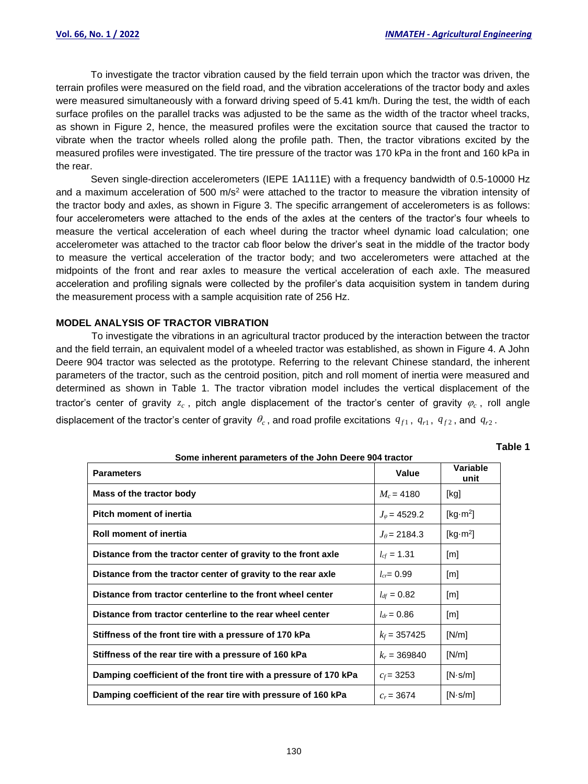To investigate the tractor vibration caused by the field terrain upon which the tractor was driven, the terrain profiles were measured on the field road, and the vibration accelerations of the tractor body and axles were measured simultaneously with a forward driving speed of 5.41 km/h. During the test, the width of each surface profiles on the parallel tracks was adjusted to be the same as the width of the tractor wheel tracks, as shown in Figure 2, hence, the measured profiles were the excitation source that caused the tractor to vibrate when the tractor wheels rolled along the profile path. Then, the tractor vibrations excited by the measured profiles were investigated. The tire pressure of the tractor was 170 kPa in the front and 160 kPa in the rear.

Seven single-direction accelerometers (IEPE 1A111E) with a frequency bandwidth of 0.5-10000 Hz and a maximum acceleration of 500 m/s<sup>2</sup> were attached to the tractor to measure the vibration intensity of the tractor body and axles, as shown in Figure 3. The specific arrangement of accelerometers is as follows: four accelerometers were attached to the ends of the axles at the centers of the tractor's four wheels to measure the vertical acceleration of each wheel during the tractor wheel dynamic load calculation; one accelerometer was attached to the tractor cab floor below the driver's seat in the middle of the tractor body to measure the vertical acceleration of the tractor body; and two accelerometers were attached at the midpoints of the front and rear axles to measure the vertical acceleration of each axle. The measured acceleration and profiling signals were collected by the profiler's data acquisition system in tandem during the measurement process with a sample acquisition rate of 256 Hz.

# **MODEL ANALYSIS OF TRACTOR VIBRATION**

To investigate the vibrations in an agricultural tractor produced by the interaction between the tractor and the field terrain, an equivalent model of a wheeled tractor was established, as shown in Figure 4. A John Deere 904 tractor was selected as the prototype. Referring to the relevant Chinese standard, the inherent parameters of the tractor, such as the centroid position, pitch and roll moment of inertia were measured and determined as shown in Table 1. The tractor vibration model includes the vertical displacement of the tractor's center of gravity  $z_c$ , pitch angle displacement of the tractor's center of gravity  $\varphi_c$ , roll angle displacement of the tractor's center of gravity  $\theta_c$ , and road profile excitations  $q_{f1}$ ,  $q_{r1}$ ,  $q_{f2}$ , and  $q_{r2}$ .

| Some inherent parameters of the John Deere 904 tractor |  |  |  |
|--------------------------------------------------------|--|--|--|
|                                                        |  |  |  |

**Table 1**

| <b>Parameters</b>                                                | Value                  | Variable<br>unit             |  |  |  |  |
|------------------------------------------------------------------|------------------------|------------------------------|--|--|--|--|
| Mass of the tractor body                                         | $M_c = 4180$           | [kg]                         |  |  |  |  |
| Pitch moment of inertia                                          | $J_{\varphi}$ = 4529.2 | [kg $\cdot$ m <sup>2</sup> ] |  |  |  |  |
| <b>Roll moment of inertia</b>                                    | $J_{\theta}$ = 2184.3  | [kg $\cdot$ m <sup>2</sup> ] |  |  |  |  |
| Distance from the tractor center of gravity to the front axle    | $l_{cf} = 1.31$        | [m]                          |  |  |  |  |
| Distance from the tractor center of gravity to the rear axle     | $l_{cr} = 0.99$        | [m]                          |  |  |  |  |
| Distance from tractor centerline to the front wheel center       | $l_{df} = 0.82$        | $\lceil m \rceil$            |  |  |  |  |
| Distance from tractor centerline to the rear wheel center        | $l_{dr} = 0.86$        | [m]                          |  |  |  |  |
| Stiffness of the front tire with a pressure of 170 kPa           | $k_f$ = 357425         | [N/m]                        |  |  |  |  |
| Stiffness of the rear tire with a pressure of 160 kPa            | $k_r = 369840$         | [N/m]                        |  |  |  |  |
| Damping coefficient of the front tire with a pressure of 170 kPa | $c_f$ = 3253           | $[N\cdot s/m]$               |  |  |  |  |
| Damping coefficient of the rear tire with pressure of 160 kPa    | $c_r = 3674$           | $[N\cdot s/m]$               |  |  |  |  |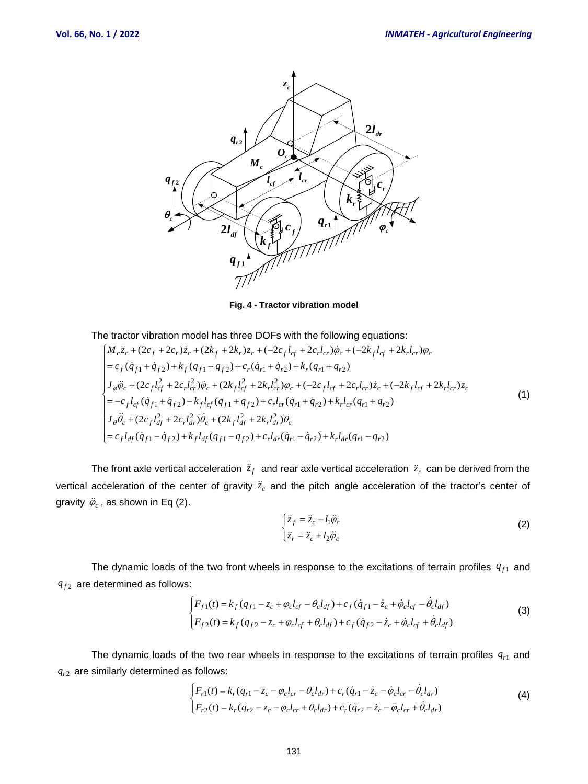

**Fig. 4 - Tractor vibration model**

The tractor vibration model has three DOFs with the following equations:

$$
\begin{cases}\nM_c \ddot{z}_c + (2c_f + 2c_r)\dot{z}_c + (2k_f + 2k_r)z_c + (-2c_f l_{cf} + 2c_r l_{cr})\dot{\varphi}_c + (-2k_f l_{cf} + 2k_r l_{cr})\varphi_c \\
= c_f(\dot{q}_{f1} + \dot{q}_{f2}) + k_f(q_{f1} + q_{f2}) + c_r(\dot{q}_{r1} + \dot{q}_{r2}) + k_r(q_{r1} + q_{r2}) \\
J_\varphi \ddot{\varphi}_c + (2c_f l_{cf}^2 + 2c_r l_{cr}^2)\dot{\varphi}_c + (2k_f l_{cf}^2 + 2k_r l_{cr}^2)\varphi_c + (-2c_f l_{cf} + 2c_r l_{cr})\dot{z}_c + (-2k_f l_{cf} + 2k_r l_{cr})z_c \\
= -c_f l_{cf}(\dot{q}_{f1} + \dot{q}_{f2}) - k_f l_{cf}(q_{f1} + q_{f2}) + c_r l_{cr}(\dot{q}_{r1} + \dot{q}_{r2}) + k_r l_{cr}(q_{r1} + q_{r2}) \\
J_\vartheta \ddot{\theta}_c + (2c_f l_{df}^2 + 2c_r l_{dr}^2)\dot{\theta}_c + (2k_f l_{df}^2 + 2k_r l_{dr}^2)\theta_c \\
= c_f l_{df}(\dot{q}_{f1} - \dot{q}_{f2}) + k_f l_{df}(q_{f1} - q_{f2}) + c_r l_{dr}(\dot{q}_{r1} - \dot{q}_{r2}) + k_r l_{dr}(q_{r1} - q_{r2})\n\end{cases} \tag{1}
$$

The front axle vertical acceleration  $\ddot{z}_f$  and rear axle vertical acceleration  $\ddot{z}_r$  can be derived from the vertical acceleration of the center of gravity  $\ddot{z}_c$  and the pitch angle acceleration of the tractor's center of gravity  $\ddot{\varphi}_c$ , as shown in Eq (2).

$$
\begin{cases}\n\ddot{z}_f = \ddot{z}_c - l_1 \ddot{\varphi}_c \\
\ddot{z}_r = \ddot{z}_c + l_2 \ddot{\varphi}_c\n\end{cases}
$$
\n(2)

The dynamic loads of the two front wheels in response to the excitations of terrain profiles  $q_{f1}$  and  $q_{f2}$  are determined as follows:

$$
\begin{cases}\nF_{f1}(t) = k_f (q_{f1} - z_c + \varphi_c l_{cf} - \theta_c l_{df}) + c_f (\dot{q}_{f1} - \dot{z}_c + \dot{\varphi}_c l_{cf} - \dot{\theta}_c l_{df}) \\
F_{f2}(t) = k_f (q_{f2} - z_c + \varphi_c l_{cf} + \theta_c l_{df}) + c_f (\dot{q}_{f2} - \dot{z}_c + \dot{\varphi}_c l_{cf} + \dot{\theta}_c l_{df})\n\end{cases}
$$
\n(3)

The dynamic loads of the two rear wheels in response to the excitations of terrain profiles  $q_{r1}$  and *qr*2 are similarly determined as follows:

$$
\begin{cases}\nF_{r1}(t) = k_r (q_{r1} - z_c - \varphi_c l_{cr} - \theta_c l_{dr}) + c_r (\dot{q}_{r1} - \dot{z}_c - \dot{\varphi}_c l_{cr} - \dot{\theta}_c l_{dr}) \\
F_{r2}(t) = k_r (q_{r2} - z_c - \varphi_c l_{cr} + \theta_c l_{dr}) + c_r (\dot{q}_{r2} - \dot{z}_c - \dot{\varphi}_c l_{cr} + \dot{\theta}_c l_{dr})\n\end{cases} (4)
$$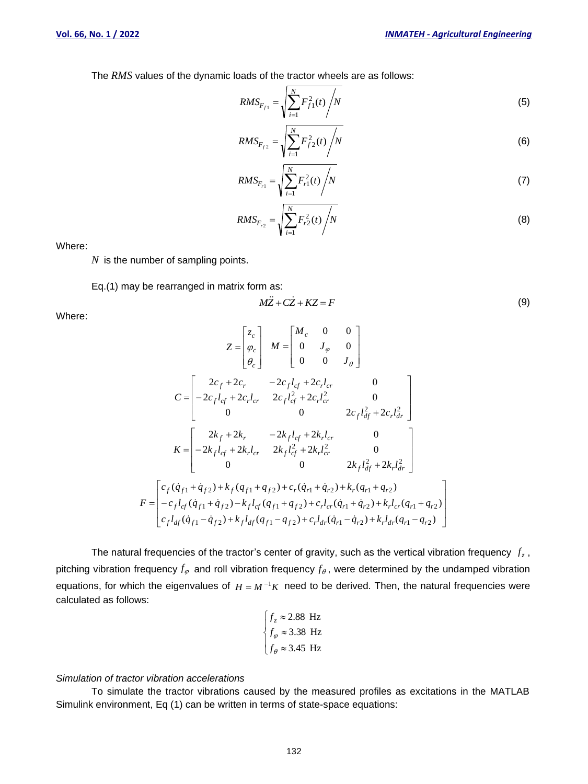The *RMS* values of the dynamic loads of the tractor wheels are as follows:

$$
RMS_{F_{f1}} = \sqrt{\sum_{i=1}^{N} F_{f1}^{2}(t)} / N
$$
\n(5)

$$
RMS_{F_{f2}} = \sqrt{\sum_{i=1}^{N} F_{f2}^{2}(t) / N}
$$
 (6)

$$
RMS_{F_{r1}} = \sqrt{\sum_{i=1}^{N} F_{r1}^2(t) / N}
$$
 (7)

$$
RMS_{F_{r2}} = \sqrt{\sum_{i=1}^{N} F_{r2}^2(t) / N}
$$
 (8)

Where:

*N* is the number of sampling points.

Eq.(1) may be rearranged in matrix form as:

$$
M\ddot{Z} + C\dot{Z} + KZ = F \tag{9}
$$

Where:

$$
Z = \begin{bmatrix} z_c \\ \varphi_c \\ \varphi_c \end{bmatrix} \quad M = \begin{bmatrix} M_c & 0 & 0 \\ 0 & J_{\varphi} & 0 \\ 0 & 0 & J_{\theta} \end{bmatrix}
$$
  
\n
$$
C = \begin{bmatrix} 2c_f + 2c_r & -2c_f l_{cf} + 2c_r l_{cr} & 0 \\ -2c_f l_{cf} + 2c_r l_{cr} & 2c_f l_{cf}^2 + 2c_r l_{cr}^2 & 0 \\ 0 & 0 & 2c_f l_{df}^2 + 2c_r l_{dr}^2 \end{bmatrix}
$$
  
\n
$$
K = \begin{bmatrix} 2k_f + 2k_r & -2k_f l_{cf} + 2k_r l_{cr} & 0 \\ -2k_f l_{cf} + 2k_r l_{cr} & 2k_f l_{cf}^2 + 2k_r l_{cr}^2 & 0 \\ 0 & 0 & 2k_f l_{df}^2 + 2k_r l_{dr}^2 \end{bmatrix}
$$
  
\n
$$
F = \begin{bmatrix} c_f (\dot{q}_{f1} + \dot{q}_{f2}) + k_f (q_{f1} + q_{f2}) + c_r (\dot{q}_{r1} + \dot{q}_{r2}) + k_r (q_{r1} + q_{r2}) \\ -c_f l_{cf} (\dot{q}_{f1} + \dot{q}_{f2}) - k_f l_{cf} (q_{f1} + q_{f2}) + c_r l_{cr} (\dot{q}_{r1} + \dot{q}_{r2}) + k_r l_{cr} (q_{r1} + q_{r2}) \\ c_f l_{df} (\dot{q}_{f1} - \dot{q}_{f2}) + k_f l_{df} (q_{f1} - q_{f2}) + c_r l_{dr} (\dot{q}_{r1} - \dot{q}_{r2}) + k_r l_{dr} (q_{r1} - q_{r2}) \end{bmatrix}
$$

The natural frequencies of the tractor's center of gravity, such as the vertical vibration frequency  $f_z$ , pitching vibration frequency  $f_{\varphi}$  and roll vibration frequency  $f_{\theta}$ , were determined by the undamped vibration equations, for which the eigenvalues of  $H = M^{-1}K$  need to be derived. Then, the natural frequencies were calculated as follows:

$$
\begin{cases} f_z \approx 2.88 \text{ Hz} \\ f_\varphi \approx 3.38 \text{ Hz} \\ f_\theta \approx 3.45 \text{ Hz} \end{cases}
$$

### *Simulation of tractor vibration accelerations*

To simulate the tractor vibrations caused by the measured profiles as excitations in the MATLAB Simulink environment, Eq (1) can be written in terms of state-space equations: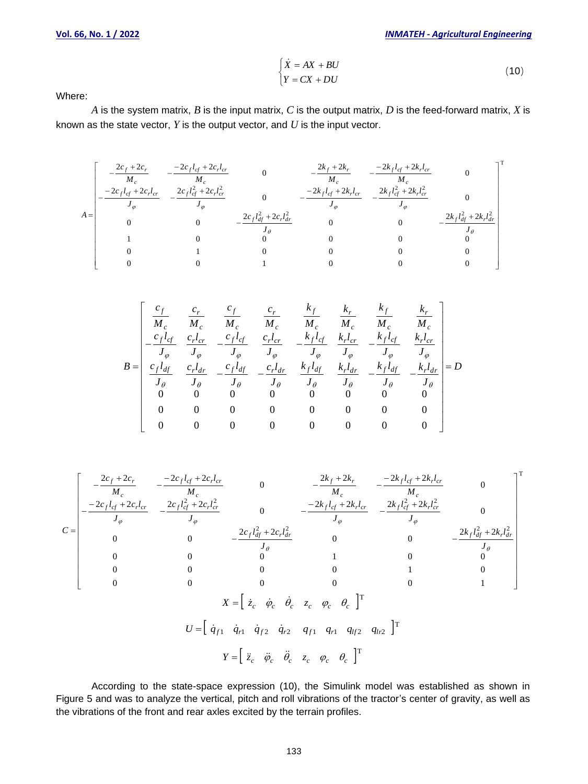$$
\begin{cases}\n\dot{X} = AX + BU \\
Y = CX + DU\n\end{cases}
$$
\n(10)

Where:

*A* is the system matrix, *B* is the input matrix, *C* is the output matrix, *D* is the feed-forward matrix, *X* is known as the state vector, *Y* is the output vector, and *U* is the input vector.

$$
A = \begin{bmatrix}\n\frac{2c_f + 2c_r}{M_c} & -\frac{-2c_f l_{cf} + 2c_r l_{cr}}{M_c} & 0 & -\frac{2k_f + 2k_r}{M_c} & -\frac{-2k_f l_{cf} + 2k_r l_{cr}}{M_c} & 0 \\
-\frac{-2c_f l_{cf} + 2c_r l_{cr}}{J_{\varphi}} & -\frac{2c_f l_{cf}^2 + 2c_r l_{cr}^2}{J_{\varphi}} & 0 & -\frac{-2k_f l_{cf} + 2k_r l_{cr}}{J_{\varphi}} & -\frac{2k_f l_{cf}^2 + 2k_r l_{cr}^2}{J_{\varphi}} & 0 \\
0 & 0 & -\frac{2c_f l_{df}^2 + 2c_r l_{dr}^2}{J_{\varphi}} & 0 & 0 & -\frac{2k_f l_{df}^2 + 2k_r l_{dr}^2}{J_{\varphi}} \\
1 & 0 & 0 & 0 & 0 & 0 \\
0 & 1 & 0 & 0 & 0 & 0 \\
0 & 0 & 1 & 0 & 0 & 0\n\end{bmatrix}^{\text{T}}
$$

$$
B = \begin{bmatrix} \frac{c_f}{M_c} & \frac{c_r}{M_c} & \frac{c_f}{M_c} & \frac{c_r}{M_c} & \frac{k_f}{M_c} & \frac{k_f}{M_c} & \frac{k_f}{M_c} \\ \frac{c_f l_{cf}}{J_\varphi} & \frac{c_r l_{cr}}{J_\varphi} & -\frac{c_f l_{cf}}{J_\varphi} & \frac{c_r l_{cr}}{J_\varphi} & \frac{k_f l_{cf}}{J_\varphi} & \frac{k_f l_{cf}}{J_\varphi} & \frac{k_f l_{cf}}{J_\varphi} & \frac{k_f l_{cf}}{J_\varphi} \\ \frac{c_f l_{df}}{J_\theta} & \frac{c_r l_{dr}}{J_\theta} & -\frac{c_f l_{dr}}{J_\theta} & -\frac{c_r l_{dr}}{J_\theta} & \frac{k_f l_{df}}{J_\theta} & \frac{k_f l_{dr}}{J_\theta} & -\frac{k_f l_{df}}{J_\theta} & -\frac{k_f l_{dr}}{J_\theta} \\ 0 & 0 & 0 & 0 & 0 & 0 & 0 & 0 \\ 0 & 0 & 0 & 0 & 0 & 0 & 0 & 0 \\ 0 & 0 & 0 & 0 & 0 & 0 & 0 & 0 \end{bmatrix}
$$

$$
C = \begin{bmatrix}\n-\frac{2c_f + 2c_r}{M_c} & -\frac{-2c_f l_{cf} + 2c_r l_{cr}}{M_c} & 0 & -\frac{2k_f + 2k_r}{M_c} & -\frac{2k_f l_{cf} + 2k_r l_{cr}}{M_c} & 0 \\
-\frac{2c_f l_{cf} + 2c_r l_{cr}}{J_{\varphi}} & -\frac{2c_f l_{cf}^2 + 2c_r l_{cr}^2}{J_{\varphi}} & 0 & -\frac{-2k_f l_{cf} + 2k_r l_{cr}}{J_{\varphi}} & -\frac{2k_f l_{cf}^2 + 2k_r l_{cr}^2}{J_{\varphi}} & 0 \\
0 & 0 & -\frac{2c_f l_{df}^2 + 2c_r l_{dr}^2}{J_{\varphi}} & 0 & 0 & -\frac{2k_f l_{cf}^2 + 2k_r l_{dr}^2}{J_{\varphi}} \\
0 & 0 & 0 & 0 & 1 & 0 & 0 \\
0 & 0 & 0 & 0 & 0 & 1 & 0 \\
0 & 0 & 0 & 0 & 0 & 0 & 1\n\end{bmatrix}
$$
\n
$$
X = \begin{bmatrix} \dot{z}_c & \dot{\varphi}_c & \dot{\varphi}_c & z_c & \varphi_c & \vartheta_c \end{bmatrix}^T
$$
\n
$$
U = \begin{bmatrix} \dot{q}_{f1} & \dot{q}_{f1} & \dot{q}_{f2} & \dot{q}_{r2} & q_{f1} & q_{r1} & q_{lf2} & q_{lr2} \end{bmatrix}^T
$$
\n
$$
Y = \begin{bmatrix} \ddot{z}_c & \ddot{\varphi}_c & \ddot{\varphi}_c & z_c & \varphi_c & \vartheta_c \end{bmatrix}^T
$$

According to the state-space expression (10), the Simulink model was established as shown in Figure 5 and was to analyze the vertical, pitch and roll vibrations of the tractor's center of gravity, as well as the vibrations of the front and rear axles excited by the terrain profiles.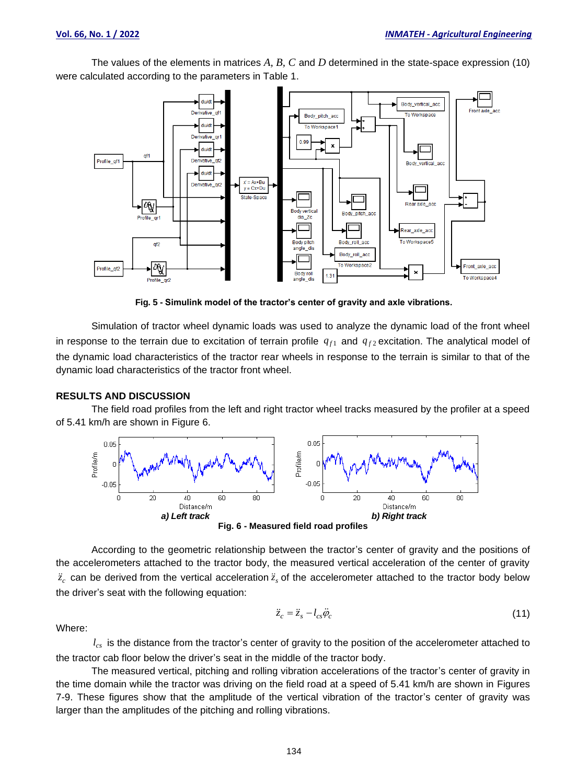The values of the elements in matrices *A, B, C* and *D* determined in the state-space expression (10) were calculated according to the parameters in Table 1.



**Fig. 5 - Simulink model of the tractor's center of gravity and axle vibrations.**

Simulation of tractor wheel dynamic loads was used to analyze the dynamic load of the front wheel in response to the terrain due to excitation of terrain profile  $q_{f1}$  and  $q_{f2}$  excitation. The analytical model of the dynamic load characteristics of the tractor rear wheels in response to the terrain is similar to that of the dynamic load characteristics of the tractor front wheel.

#### **RESULTS AND DISCUSSION**

The field road profiles from the left and right tractor wheel tracks measured by the profiler at a speed of 5.41 km/h are shown in Figure 6.



**Fig. 6 - Measured field road profiles**

According to the geometric relationship between the tractor's center of gravity and the positions of the accelerometers attached to the tractor body, the measured vertical acceleration of the center of gravity  $\ddot{z}_c$  can be derived from the vertical acceleration  $\ddot{z}_s$  of the accelerometer attached to the tractor body below the driver's seat with the following equation:

$$
\ddot{z}_c = \ddot{z}_s - l_{cs}\ddot{\varphi}_c \tag{11}
$$

Where:

 $l_{cs}$  is the distance from the tractor's center of gravity to the position of the accelerometer attached to the tractor cab floor below the driver's seat in the middle of the tractor body.

The measured vertical, pitching and rolling vibration accelerations of the tractor's center of gravity in the time domain while the tractor was driving on the field road at a speed of 5.41 km/h are shown in Figures 7-9. These figures show that the amplitude of the vertical vibration of the tractor's center of gravity was larger than the amplitudes of the pitching and rolling vibrations.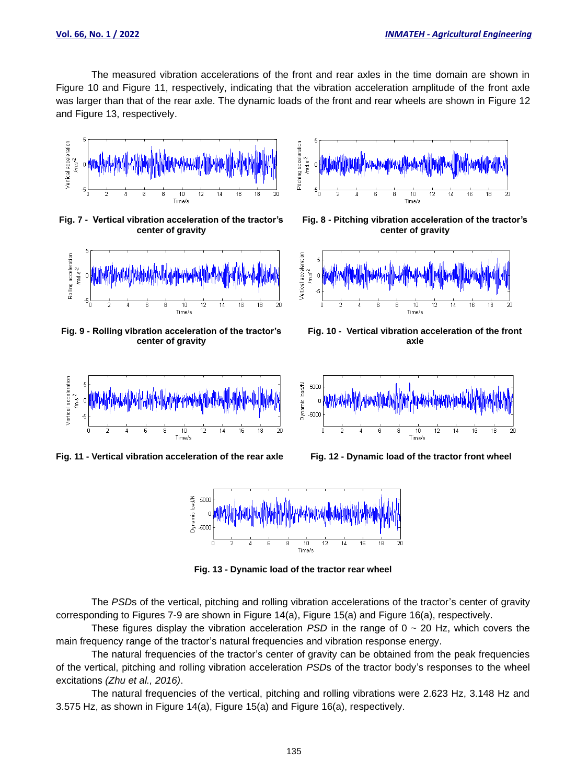The measured vibration accelerations of the front and rear axles in the time domain are shown in Figure 10 and Figure 11, respectively, indicating that the vibration acceleration amplitude of the front axle was larger than that of the rear axle. The dynamic loads of the front and rear wheels are shown in Figure 12 and Figure 13, respectively.



**Fig. 7 - Vertical vibration acceleration of the tractor's center of gravity** 



**Fig. 9 - Rolling vibration acceleration of the tractor's center of gravity**



**Fig. 11 - Vertical vibration acceleration of the rear axle Fig. 12 - Dynamic load of the tractor front wheel**



**Fig. 8 - Pitching vibration acceleration of the tractor's center of gravity**



**Fig. 10 - Vertical vibration acceleration of the front axle**





**Fig. 13 - Dynamic load of the tractor rear wheel**

The *PSD*s of the vertical, pitching and rolling vibration accelerations of the tractor's center of gravity corresponding to Figures 7-9 are shown in Figure 14(a), Figure 15(a) and Figure 16(a), respectively.

These figures display the vibration acceleration *PSD* in the range of  $0 \sim 20$  Hz, which covers the main frequency range of the tractor's natural frequencies and vibration response energy.

The natural frequencies of the tractor's center of gravity can be obtained from the peak frequencies of the vertical, pitching and rolling vibration acceleration *PSD*s of the tractor body's responses to the wheel excitations *(Zhu et al., 2016)*.

The natural frequencies of the vertical, pitching and rolling vibrations were 2.623 Hz, 3.148 Hz and 3.575 Hz, as shown in Figure 14(a), Figure 15(a) and Figure 16(a), respectively.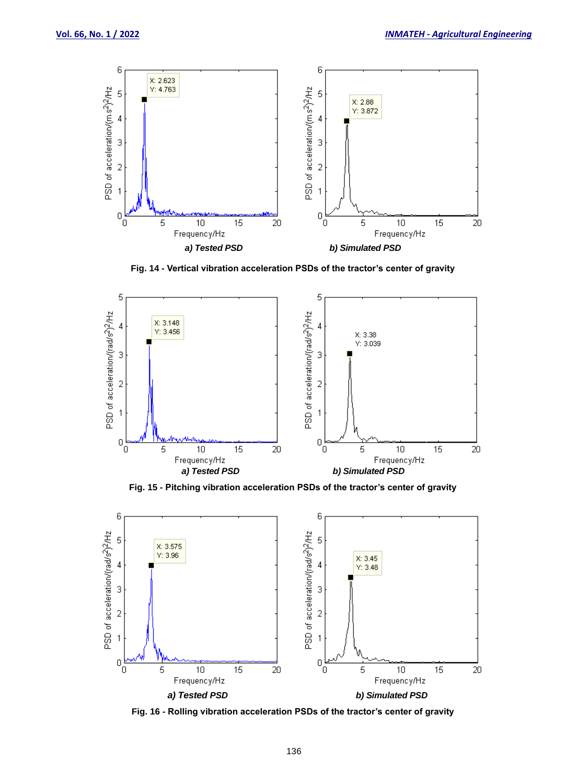

**Fig. 14 - Vertical vibration acceleration PSDs of the tractor's center of gravity**



**Fig. 15 - Pitching vibration acceleration PSDs of the tractor's center of gravity**



**Fig. 16 - Rolling vibration acceleration PSDs of the tractor's center of gravity**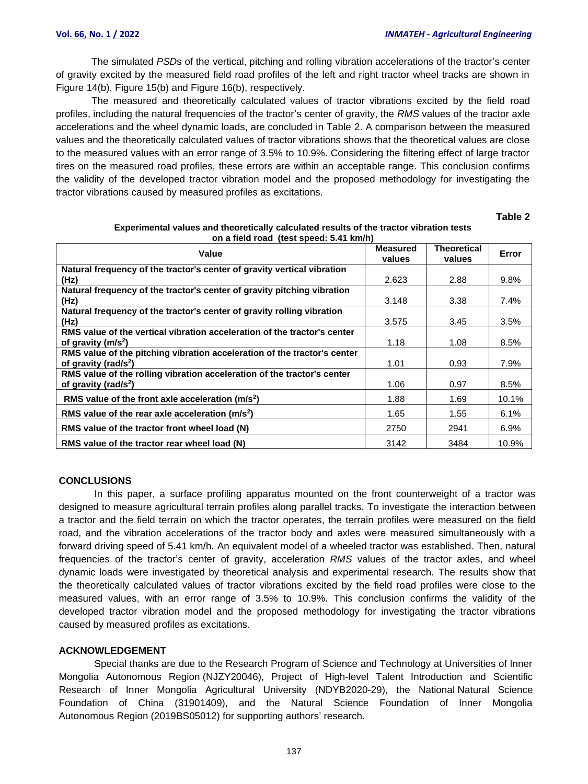The simulated *PSD*s of the vertical, pitching and rolling vibration accelerations of the tractor's center of gravity excited by the measured field road profiles of the left and right tractor wheel tracks are shown in Figure 14(b), Figure 15(b) and Figure 16(b), respectively.

The measured and theoretically calculated values of tractor vibrations excited by the field road profiles, including the natural frequencies of the tractor's center of gravity, the *RMS* values of the tractor axle accelerations and the wheel dynamic loads, are concluded in Table 2. A comparison between the measured values and the theoretically calculated values of tractor vibrations shows that the theoretical values are close to the measured values with an error range of 3.5% to 10.9%. Considering the filtering effect of large tractor tires on the measured road profiles, these errors are within an acceptable range. This conclusion confirms the validity of the developed tractor vibration model and the proposed methodology for investigating the tractor vibrations caused by measured profiles as excitations.

**Table 2**

| <b>UIT &amp; HERE TOGG, REST SPEEG: 0.41 MINIT</b><br>Value                                                  | <b>Measured</b><br>values | Theoretical<br>values | Error   |
|--------------------------------------------------------------------------------------------------------------|---------------------------|-----------------------|---------|
| Natural frequency of the tractor's center of gravity vertical vibration<br>(Hz)                              | 2.623                     | 2.88                  | 9.8%    |
| Natural frequency of the tractor's center of gravity pitching vibration<br>(Hz)                              | 3.148                     | 3.38                  | $7.4\%$ |
| Natural frequency of the tractor's center of gravity rolling vibration<br>(Hz)                               | 3.575                     | 3.45                  | 3.5%    |
| RMS value of the vertical vibration acceleration of the tractor's center<br>of gravity $(m/s2)$              | 1.18                      | 1.08                  | 8.5%    |
| RMS value of the pitching vibration acceleration of the tractor's center<br>of gravity (rad/s <sup>2</sup> ) | 1.01                      | 0.93                  | 7.9%    |
| RMS value of the rolling vibration acceleration of the tractor's center<br>of gravity (rad/s <sup>2</sup> )  | 1.06                      | 0.97                  | 8.5%    |
| RMS value of the front axle acceleration $(m/s2)$                                                            | 1.88                      | 1.69                  | 10.1%   |
| RMS value of the rear axle acceleration $(m/s2)$                                                             | 1.65                      | 1.55                  | 6.1%    |
| RMS value of the tractor front wheel load (N)                                                                | 2750                      | 2941                  | 6.9%    |
| RMS value of the tractor rear wheel load (N)                                                                 | 3142                      | 3484                  | 10.9%   |

#### **Experimental values and theoretically calculated results of the tractor vibration tests on a field road (test speed: 5.41 km/h)**

# **CONCLUSIONS**

In this paper, a surface profiling apparatus mounted on the front counterweight of a tractor was designed to measure agricultural terrain profiles along parallel tracks. To investigate the interaction between a tractor and the field terrain on which the tractor operates, the terrain profiles were measured on the field road, and the vibration accelerations of the tractor body and axles were measured simultaneously with a forward driving speed of 5.41 km/h. An equivalent model of a wheeled tractor was established. Then, natural frequencies of the tractor's center of gravity, acceleration *RMS* values of the tractor axles, and wheel dynamic loads were investigated by theoretical analysis and experimental research. The results show that the theoretically calculated values of tractor vibrations excited by the field road profiles were close to the measured values, with an error range of 3.5% to 10.9%. This conclusion confirms the validity of the developed tractor vibration model and the proposed methodology for investigating the tractor vibrations caused by measured profiles as excitations.

# **ACKNOWLEDGEMENT**

Special thanks are due to the Research Program of Science and Technology at Universities of Inner Mongolia Autonomous Region (NJZY20046), Project of High-level Talent Introduction and Scientific Research of Inner Mongolia Agricultural University (NDYB2020-29), the National Natural Science Foundation of China (31901409), and the Natural Science Foundation of Inner Mongolia Autonomous Region (2019BS05012) for supporting authors' research.